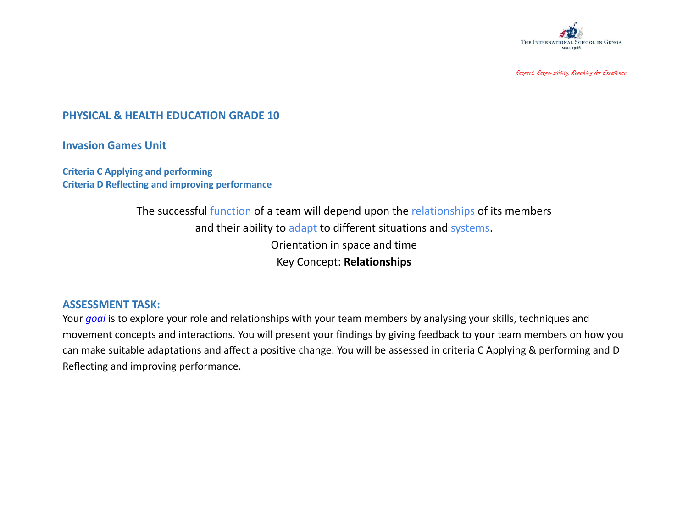

Respect, Responsibility, Reaching for Excellence

## **PHYSICAL & HEALTH EDUCATION GRADE 10**

**Invasion Games Unit**

**Criteria C Applying and performing Criteria D Reflecting and improving performance**

> The successful function of a team will depend upon the relationships of its members and their ability to adapt to different situations and systems. Orientation in space and time Key Concept: **Relationships**

## **ASSESSMENT TASK:**

Your *goal* is to explore your role and relationships with your team members by analysing your skills, techniques and movement concepts and interactions. You will present your findings by giving feedback to your team members on how you can make suitable adaptations and affect a positive change. You will be assessed in criteria C Applying & performing and D Reflecting and improving performance.